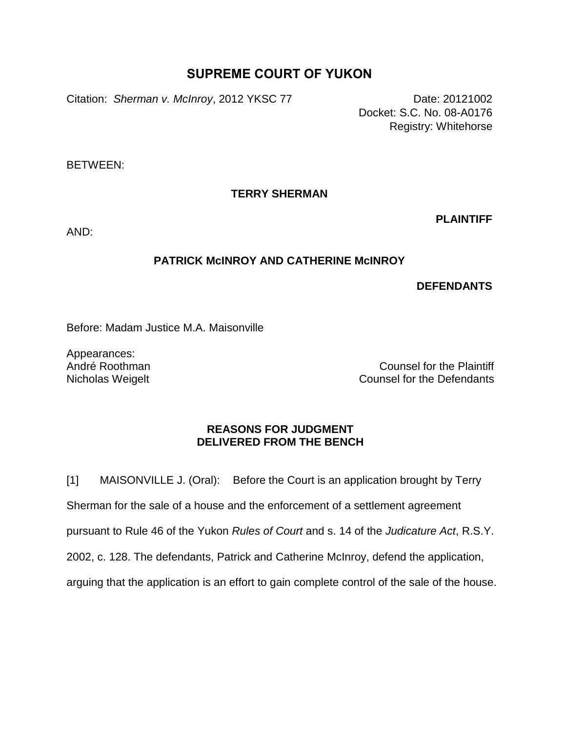# **SUPREME COURT OF YUKON**

Citation: *Sherman v. McInroy*, 2012 YKSC 77 Date: 20121002

Docket: S.C. No. 08-A0176 Registry: Whitehorse

BETWEEN:

**TERRY SHERMAN**

**PLAINTIFF**

AND:

### **PATRICK McINROY AND CATHERINE McINROY**

## **DEFENDANTS**

Before: Madam Justice M.A. Maisonville

Appearances: André Roothman Nicholas Weigelt

Counsel for the Plaintiff Counsel for the Defendants

### **REASONS FOR JUDGMENT DELIVERED FROM THE BENCH**

[1] MAISONVILLE J. (Oral): Before the Court is an application brought by Terry Sherman for the sale of a house and the enforcement of a settlement agreement pursuant to Rule 46 of the Yukon *Rules of Court* and s. 14 of the *Judicature Act*, R.S.Y. 2002, c. 128. The defendants, Patrick and Catherine McInroy, defend the application, arguing that the application is an effort to gain complete control of the sale of the house.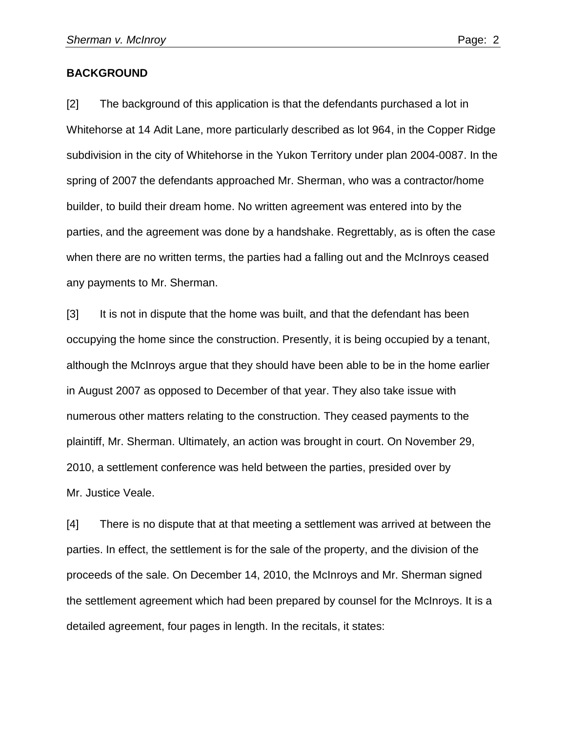#### **BACKGROUND**

[2] The background of this application is that the defendants purchased a lot in Whitehorse at 14 Adit Lane, more particularly described as lot 964, in the Copper Ridge subdivision in the city of Whitehorse in the Yukon Territory under plan 2004-0087. In the spring of 2007 the defendants approached Mr. Sherman, who was a contractor/home builder, to build their dream home. No written agreement was entered into by the parties, and the agreement was done by a handshake. Regrettably, as is often the case when there are no written terms, the parties had a falling out and the McInroys ceased any payments to Mr. Sherman.

[3] It is not in dispute that the home was built, and that the defendant has been occupying the home since the construction. Presently, it is being occupied by a tenant, although the McInroys argue that they should have been able to be in the home earlier in August 2007 as opposed to December of that year. They also take issue with numerous other matters relating to the construction. They ceased payments to the plaintiff, Mr. Sherman. Ultimately, an action was brought in court. On November 29, 2010, a settlement conference was held between the parties, presided over by Mr. Justice Veale.

[4] There is no dispute that at that meeting a settlement was arrived at between the parties. In effect, the settlement is for the sale of the property, and the division of the proceeds of the sale. On December 14, 2010, the McInroys and Mr. Sherman signed the settlement agreement which had been prepared by counsel for the McInroys. It is a detailed agreement, four pages in length. In the recitals, it states: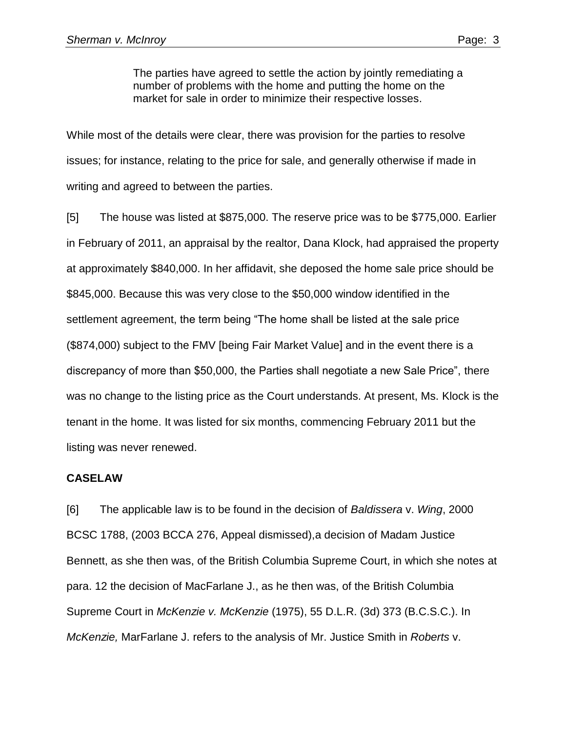The parties have agreed to settle the action by jointly remediating a number of problems with the home and putting the home on the market for sale in order to minimize their respective losses.

While most of the details were clear, there was provision for the parties to resolve issues; for instance, relating to the price for sale, and generally otherwise if made in writing and agreed to between the parties.

[5] The house was listed at \$875,000. The reserve price was to be \$775,000. Earlier in February of 2011, an appraisal by the realtor, Dana Klock, had appraised the property at approximately \$840,000. In her affidavit, she deposed the home sale price should be \$845,000. Because this was very close to the \$50,000 window identified in the settlement agreement, the term being "The home shall be listed at the sale price (\$874,000) subject to the FMV [being Fair Market Value] and in the event there is a discrepancy of more than \$50,000, the Parties shall negotiate a new Sale Price", there was no change to the listing price as the Court understands. At present, Ms. Klock is the tenant in the home. It was listed for six months, commencing February 2011 but the listing was never renewed.

### **CASELAW**

[6] The applicable law is to be found in the decision of *Baldissera* v. *Wing*, 2000 BCSC 1788, (2003 BCCA 276, Appeal dismissed),a decision of Madam Justice Bennett, as she then was, of the British Columbia Supreme Court, in which she notes at para. 12 the decision of MacFarlane J., as he then was, of the British Columbia Supreme Court in *McKenzie v. McKenzie* (1975), 55 D.L.R. (3d) 373 (B.C.S.C.). In *McKenzie,* MarFarlane J. refers to the analysis of Mr. Justice Smith in *Roberts* v.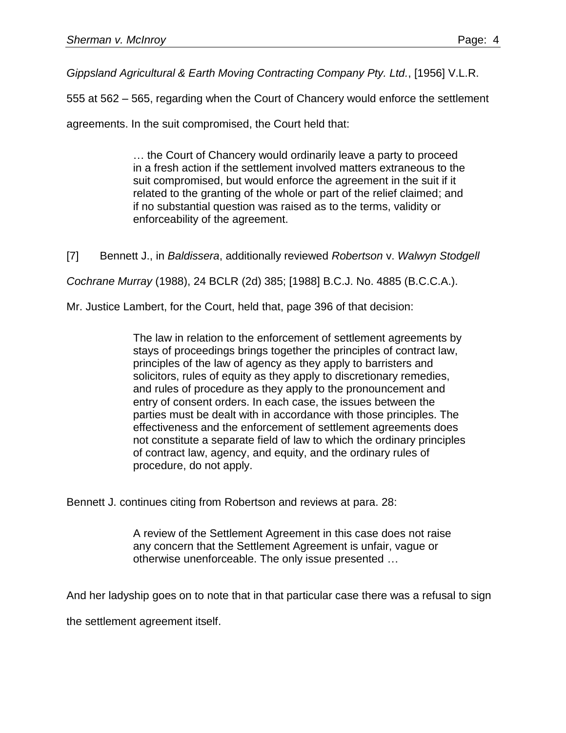*Gippsland Agricultural & Earth Moving Contracting Company Pty. Ltd.*, [1956] V.L.R.

555 at 562 – 565, regarding when the Court of Chancery would enforce the settlement

agreements. In the suit compromised, the Court held that:

… the Court of Chancery would ordinarily leave a party to proceed in a fresh action if the settlement involved matters extraneous to the suit compromised, but would enforce the agreement in the suit if it related to the granting of the whole or part of the relief claimed; and if no substantial question was raised as to the terms, validity or enforceability of the agreement.

[7] Bennett J., in *Baldissera*, additionally reviewed *Robertson* v. *Walwyn Stodgell* 

*Cochrane Murray* (1988), 24 BCLR (2d) 385; [1988] B.C.J. No. 4885 (B.C.C.A.).

Mr. Justice Lambert, for the Court, held that, page 396 of that decision:

The law in relation to the enforcement of settlement agreements by stays of proceedings brings together the principles of contract law, principles of the law of agency as they apply to barristers and solicitors, rules of equity as they apply to discretionary remedies, and rules of procedure as they apply to the pronouncement and entry of consent orders. In each case, the issues between the parties must be dealt with in accordance with those principles. The effectiveness and the enforcement of settlement agreements does not constitute a separate field of law to which the ordinary principles of contract law, agency, and equity, and the ordinary rules of procedure, do not apply.

Bennett J. continues citing from Robertson and reviews at para. 28:

A review of the Settlement Agreement in this case does not raise any concern that the Settlement Agreement is unfair, vague or otherwise unenforceable. The only issue presented …

And her ladyship goes on to note that in that particular case there was a refusal to sign

the settlement agreement itself.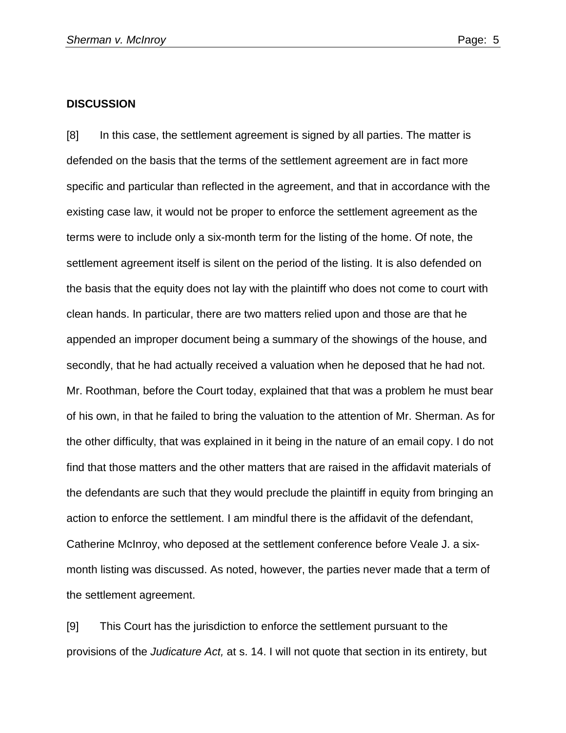#### **DISCUSSION**

[8] In this case, the settlement agreement is signed by all parties. The matter is defended on the basis that the terms of the settlement agreement are in fact more specific and particular than reflected in the agreement, and that in accordance with the existing case law, it would not be proper to enforce the settlement agreement as the terms were to include only a six-month term for the listing of the home. Of note, the settlement agreement itself is silent on the period of the listing. It is also defended on the basis that the equity does not lay with the plaintiff who does not come to court with clean hands. In particular, there are two matters relied upon and those are that he appended an improper document being a summary of the showings of the house, and secondly, that he had actually received a valuation when he deposed that he had not. Mr. Roothman, before the Court today, explained that that was a problem he must bear of his own, in that he failed to bring the valuation to the attention of Mr. Sherman. As for the other difficulty, that was explained in it being in the nature of an email copy. I do not find that those matters and the other matters that are raised in the affidavit materials of the defendants are such that they would preclude the plaintiff in equity from bringing an action to enforce the settlement. I am mindful there is the affidavit of the defendant, Catherine McInroy, who deposed at the settlement conference before Veale J. a sixmonth listing was discussed. As noted, however, the parties never made that a term of the settlement agreement.

[9] This Court has the jurisdiction to enforce the settlement pursuant to the provisions of the *Judicature Act,* at s. 14. I will not quote that section in its entirety, but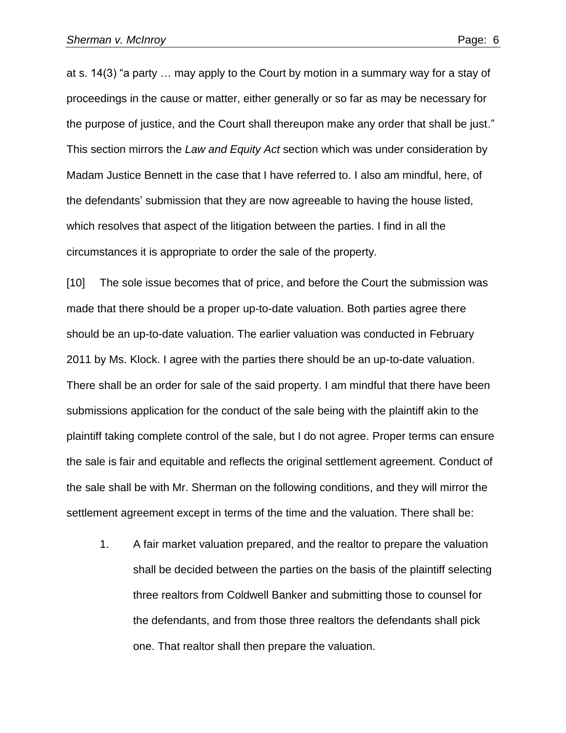at s. 14(3) "a party … may apply to the Court by motion in a summary way for a stay of proceedings in the cause or matter, either generally or so far as may be necessary for the purpose of justice, and the Court shall thereupon make any order that shall be just." This section mirrors the *Law and Equity Act* section which was under consideration by Madam Justice Bennett in the case that I have referred to. I also am mindful, here, of the defendants' submission that they are now agreeable to having the house listed, which resolves that aspect of the litigation between the parties. I find in all the circumstances it is appropriate to order the sale of the property.

[10] The sole issue becomes that of price, and before the Court the submission was made that there should be a proper up-to-date valuation. Both parties agree there should be an up-to-date valuation. The earlier valuation was conducted in February 2011 by Ms. Klock. I agree with the parties there should be an up-to-date valuation. There shall be an order for sale of the said property. I am mindful that there have been submissions application for the conduct of the sale being with the plaintiff akin to the plaintiff taking complete control of the sale, but I do not agree. Proper terms can ensure the sale is fair and equitable and reflects the original settlement agreement. Conduct of the sale shall be with Mr. Sherman on the following conditions, and they will mirror the settlement agreement except in terms of the time and the valuation. There shall be:

1. A fair market valuation prepared, and the realtor to prepare the valuation shall be decided between the parties on the basis of the plaintiff selecting three realtors from Coldwell Banker and submitting those to counsel for the defendants, and from those three realtors the defendants shall pick one. That realtor shall then prepare the valuation.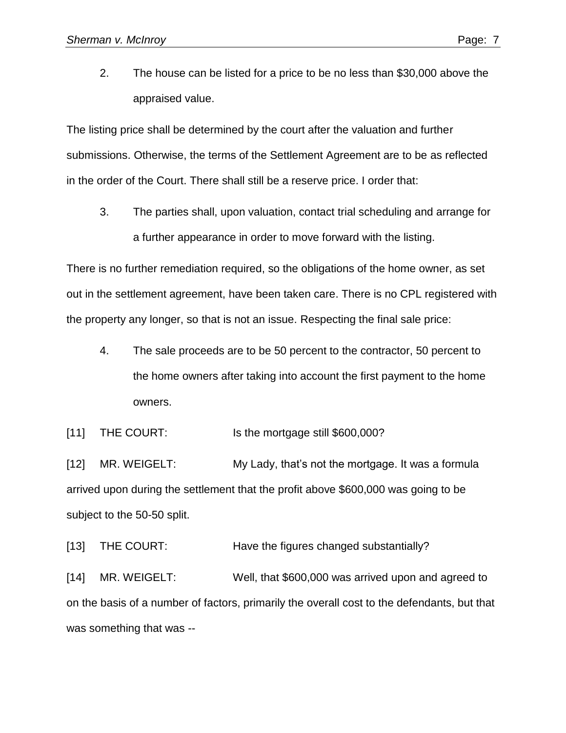2. The house can be listed for a price to be no less than \$30,000 above the appraised value.

The listing price shall be determined by the court after the valuation and further submissions. Otherwise, the terms of the Settlement Agreement are to be as reflected in the order of the Court. There shall still be a reserve price. I order that:

3. The parties shall, upon valuation, contact trial scheduling and arrange for a further appearance in order to move forward with the listing.

There is no further remediation required, so the obligations of the home owner, as set out in the settlement agreement, have been taken care. There is no CPL registered with the property any longer, so that is not an issue. Respecting the final sale price:

4. The sale proceeds are to be 50 percent to the contractor, 50 percent to the home owners after taking into account the first payment to the home owners.

[11] THE COURT: Is the mortgage still \$600,000?

[12] MR. WEIGELT: My Lady, that's not the mortgage. It was a formula arrived upon during the settlement that the profit above \$600,000 was going to be subject to the 50-50 split.

[13] THE COURT: Have the figures changed substantially?

[14] MR. WEIGELT: Well, that \$600,000 was arrived upon and agreed to on the basis of a number of factors, primarily the overall cost to the defendants, but that was something that was --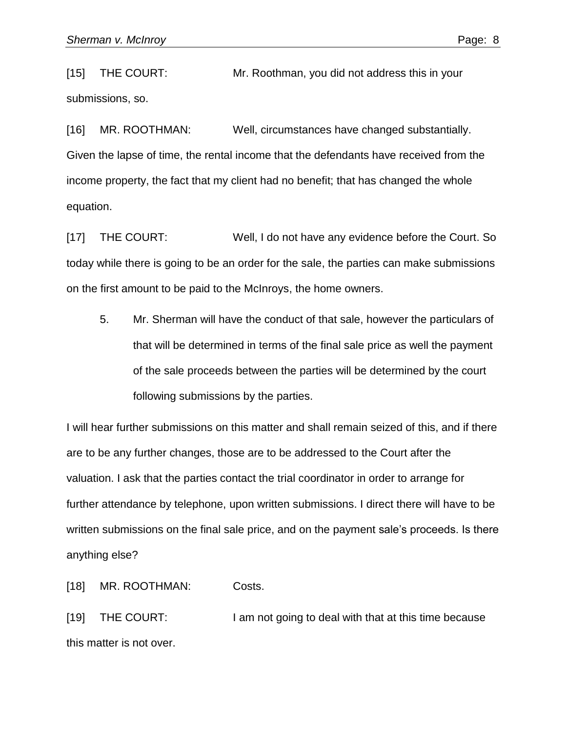[15] THE COURT: Mr. Roothman, you did not address this in your submissions, so.

[16] MR. ROOTHMAN: Well, circumstances have changed substantially. Given the lapse of time, the rental income that the defendants have received from the income property, the fact that my client had no benefit; that has changed the whole equation.

[17] THE COURT: Well, I do not have any evidence before the Court. So today while there is going to be an order for the sale, the parties can make submissions on the first amount to be paid to the McInroys, the home owners.

5. Mr. Sherman will have the conduct of that sale, however the particulars of that will be determined in terms of the final sale price as well the payment of the sale proceeds between the parties will be determined by the court following submissions by the parties.

I will hear further submissions on this matter and shall remain seized of this, and if there are to be any further changes, those are to be addressed to the Court after the valuation. I ask that the parties contact the trial coordinator in order to arrange for further attendance by telephone, upon written submissions. I direct there will have to be written submissions on the final sale price, and on the payment sale's proceeds. Is there anything else?

[18] MR. ROOTHMAN: Costs.

[19] THE COURT: I am not going to deal with that at this time because this matter is not over.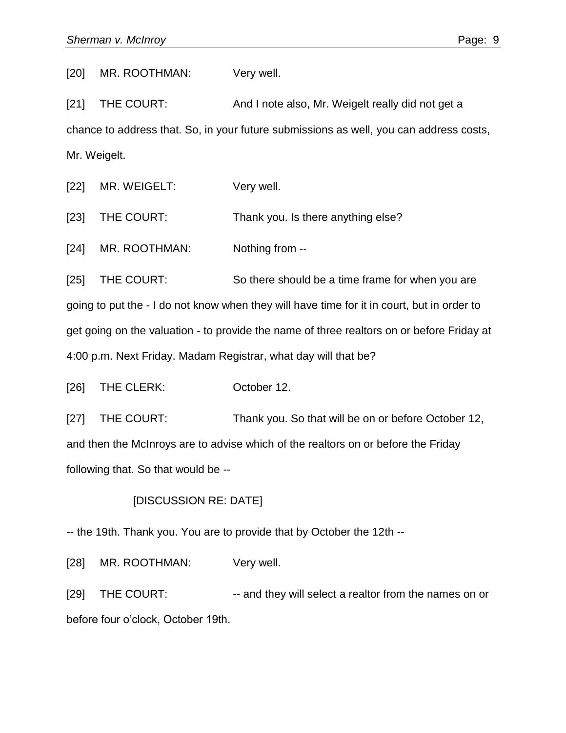[20] MR. ROOTHMAN: Very well.

[21] THE COURT: And I note also, Mr. Weigelt really did not get a

chance to address that. So, in your future submissions as well, you can address costs, Mr. Weigelt.

[22] MR. WEIGELT: Very well.

[23] THE COURT: Thank you. Is there anything else?

[24] MR. ROOTHMAN: Nothing from --

[25] THE COURT: So there should be a time frame for when you are

going to put the - I do not know when they will have time for it in court, but in order to get going on the valuation - to provide the name of three realtors on or before Friday at 4:00 p.m. Next Friday. Madam Registrar, what day will that be?

[26] THE CLERK: October 12.

[27] THE COURT: Thank you. So that will be on or before October 12, and then the McInroys are to advise which of the realtors on or before the Friday following that. So that would be --

### [DISCUSSION RE: DATE]

-- the 19th. Thank you. You are to provide that by October the 12th --

[28] MR. ROOTHMAN: Very well.

[29] THE COURT: -- and they will select a realtor from the names on or before four o'clock, October 19th.